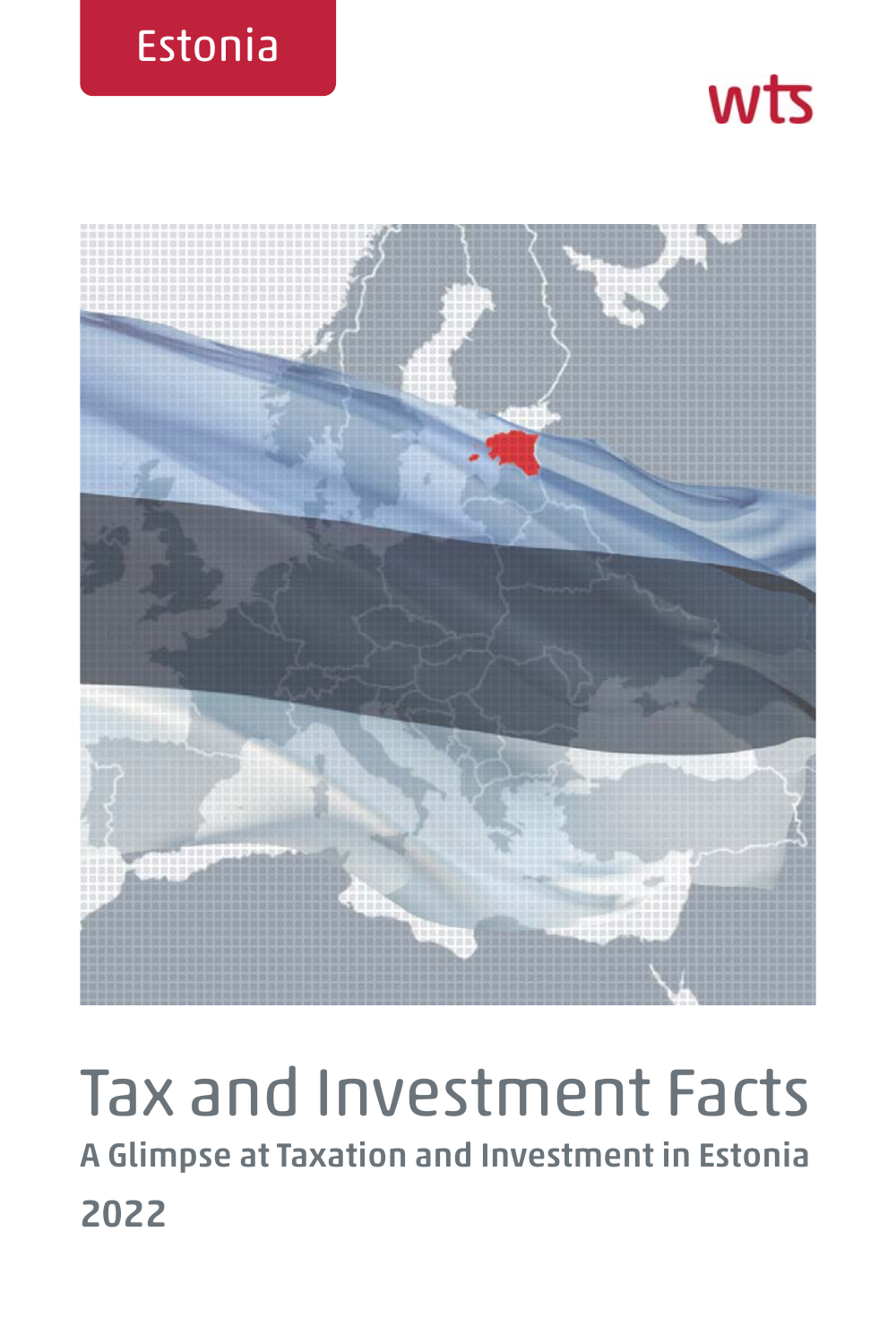





# Tax and Investment Facts **A Glimpse at Taxation and Investment in Estonia 2022**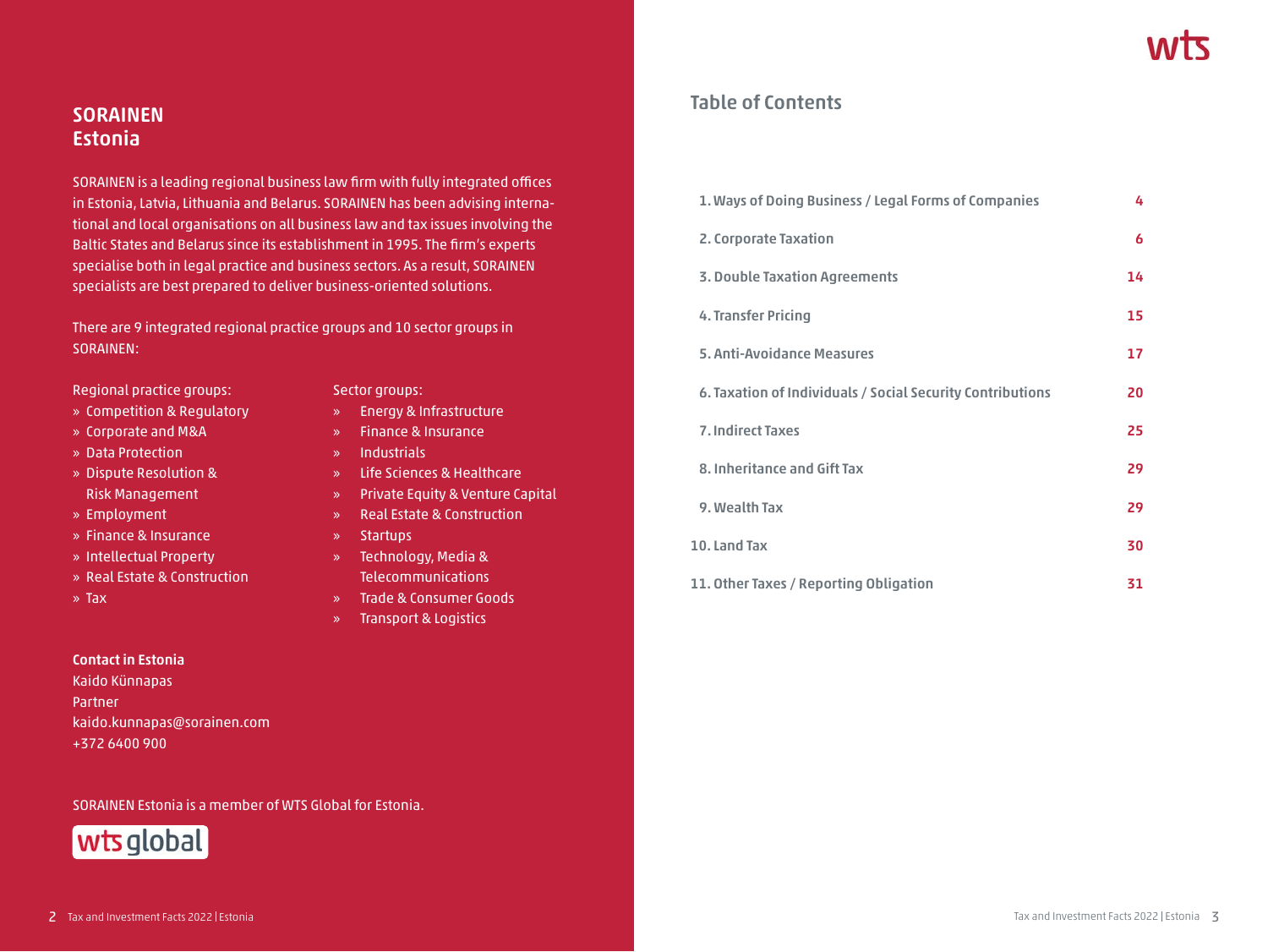# **SORAINEN Estonia**

SORAINEN is a leading regional business law firm with fully integrated offices in Estonia, Latvia, Lithuania and Belarus. SORAINEN has been advising international and local organisations on all business law and tax issues involving the Baltic States and Belarus since its establishment in 1995. The firm's experts specialise both in legal practice and business sectors. As a result, SORAINEN specialists are best prepared to deliver business-oriented solutions.

There are 9 integrated regional practice groups and 10 sector groups in SORAINEN:

Regional practice groups: Sector groups:

- » Competition & Regulatory » Energy & Infrastructure
- » Corporate and M&A » Finance & Insurance
- » Data Protection » Industrials
- » Dispute Resolution & » Life Sciences & Healthcare Risk Management » Private Equity & Venture Capital
- 
- » Finance & Insurance » Startups
- 
- 
- 

#### **Contact in Estonia**

Kaido Künnapas Partner kaido.kunnapas@sorainen.com +372 6400 900

SORAINEN Estonia is a member of WTS Global for Estonia.



- 
- 
- 
- 
- » Employment » Real Estate & Construction
	-
- » Intellectual Property » Technology, Media & » Real Estate & Construction Telecommunications
- » Tax » Trade & Consumer Goods
	- » Transport & Logistics

## **Table of Contents**

| 1. Ways of Doing Business / Legal Forms of Companies       | 4  |
|------------------------------------------------------------|----|
| 2. Corporate Taxation                                      | 6  |
| <b>3. Double Taxation Agreements</b>                       | 14 |
| 4. Transfer Pricing                                        | 15 |
| 5. Anti-Avoidance Measures                                 | 17 |
| 6. Taxation of Individuals / Social Security Contributions | 20 |
| <b>7. Indirect Taxes</b>                                   | 25 |
| 8. Inheritance and Gift Tax                                | 29 |
| 9. Wealth Tax                                              | 29 |
| 10. Land Tax                                               | 30 |
| 11. Other Taxes / Reporting Obligation                     | 31 |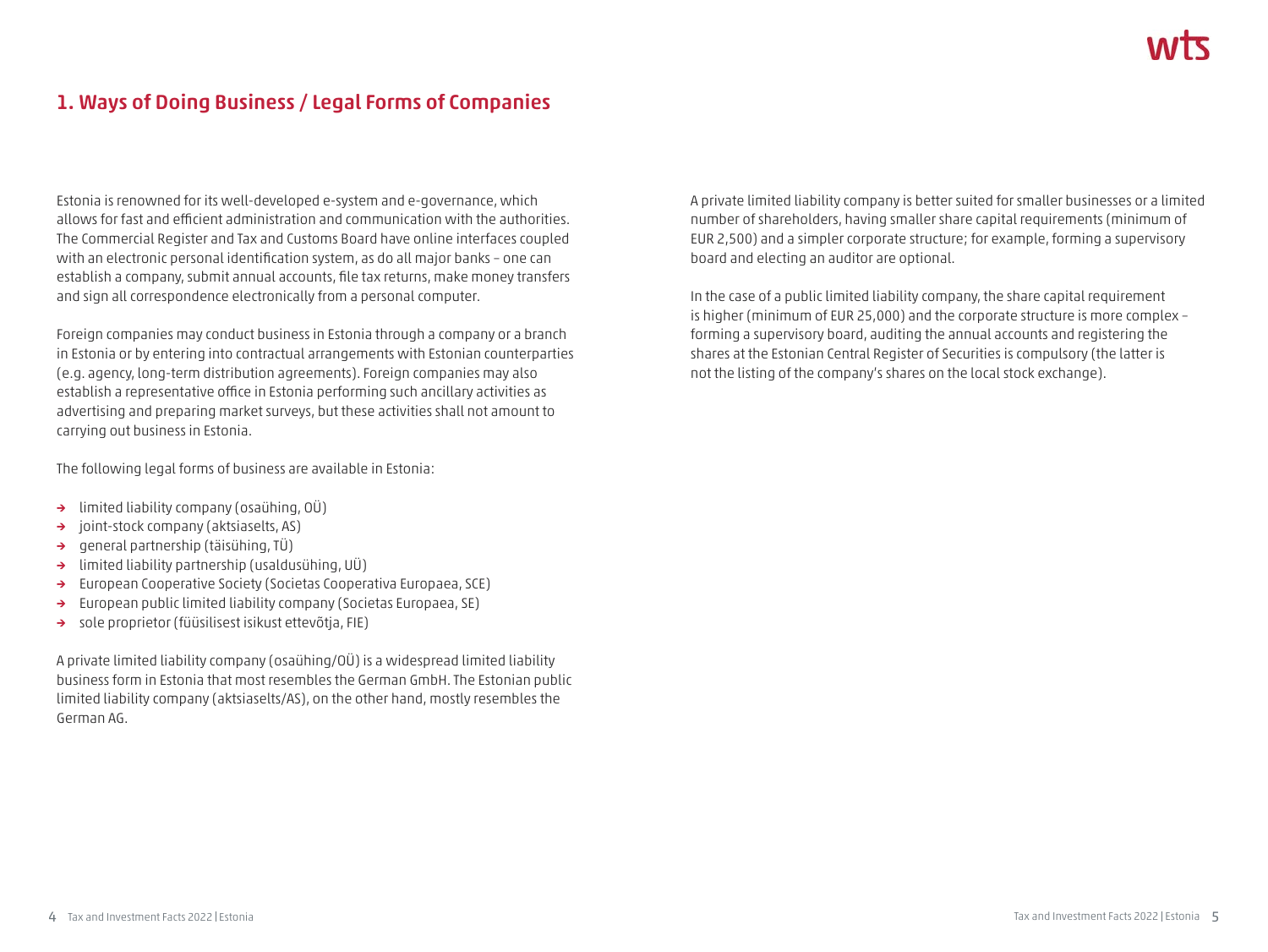# **1. Ways of Doing Business / Legal Forms of Companies**

Estonia is renowned for its well-developed e-system and e-governance, which allows for fast and efficient administration and communication with the authorities. The Commercial Register and Tax and Customs Board have online interfaces coupled with an electronic personal identification system, as do all major banks – one can establish a company, submit annual accounts, file tax returns, make money transfers and sign all correspondence electronically from a personal computer.

Foreign companies may conduct business in Estonia through a company or a branch in Estonia or by entering into contractual arrangements with Estonian counterparties (e.g. agency, long-term distribution agreements). Foreign companies may also establish a representative office in Estonia performing such ancillary activities as advertising and preparing market surveys, but these activities shall not amount to carrying out business in Estonia.

The following legal forms of business are available in Estonia:

- **→** limited liability company (osaühing, OÜ)
- **→** joint-stock company (aktsiaselts, AS)
- **→** general partnership (täisühing, TÜ)
- **→** limited liability partnership (usaldusühing, UÜ)
- **→** European Cooperative Society (Societas Cooperativa Europaea, SCE)
- **→** European public limited liability company (Societas Europaea, SE)
- **→** sole proprietor (füüsilisest isikust ettevõtja, FIE)

A private limited liability company (osaühing/OÜ) is a widespread limited liability business form in Estonia that most resembles the German GmbH. The Estonian public limited liability company (aktsiaselts/AS), on the other hand, mostly resembles the German AG.

A private limited liability company is better suited for smaller businesses or a limited number of shareholders, having smaller share capital requirements (minimum of EUR 2,500) and a simpler corporate structure; for example, forming a supervisory board and electing an auditor are optional.

In the case of a public limited liability company, the share capital requirement is higher (minimum of EUR 25,000) and the corporate structure is more complex – forming a supervisory board, auditing the annual accounts and registering the shares at the Estonian Central Register of Securities is compulsory (the latter is not the listing of the company's shares on the local stock exchange).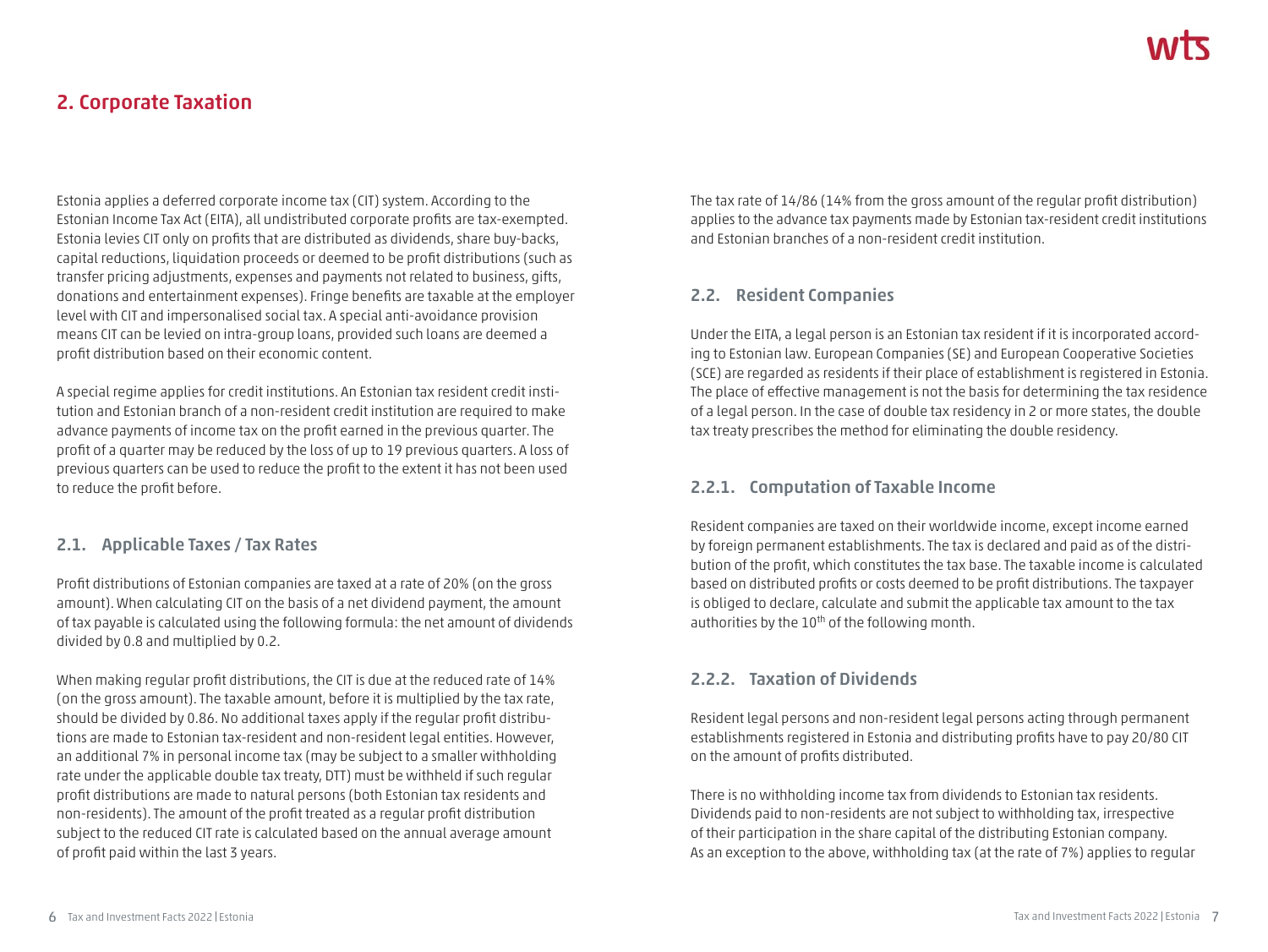# **2. Corporate Taxation**

Estonia applies a deferred corporate income tax (CIT) system. According to the Estonian Income Tax Act (EITA), all undistributed corporate profits are tax-exempted. Estonia levies CIT only on profits that are distributed as dividends, share buy-backs, capital reductions, liquidation proceeds or deemed to be profit distributions (such as transfer pricing adjustments, expenses and payments not related to business, gifts, donations and entertainment expenses). Fringe benefits are taxable at the employer level with CIT and impersonalised social tax. A special anti-avoidance provision means CIT can be levied on intra-group loans, provided such loans are deemed a profit distribution based on their economic content.

A special regime applies for credit institutions. An Estonian tax resident credit institution and Estonian branch of a non-resident credit institution are required to make advance payments of income tax on the profit earned in the previous quarter. The profit of a quarter may be reduced by the loss of up to 19 previous quarters. A loss of previous quarters can be used to reduce the profit to the extent it has not been used to reduce the profit before.

#### **2.1. Applicable Taxes / Tax Rates**

Profit distributions of Estonian companies are taxed at a rate of 20% (on the gross amount). When calculating CIT on the basis of a net dividend payment, the amount of tax payable is calculated using the following formula: the net amount of dividends divided by 0.8 and multiplied by 0.2.

When making regular profit distributions, the CIT is due at the reduced rate of 14% (on the gross amount). The taxable amount, before it is multiplied by the tax rate, should be divided by 0.86. No additional taxes apply if the regular profit distributions are made to Estonian tax-resident and non-resident legal entities. However, an additional 7% in personal income tax (may be subject to a smaller withholding rate under the applicable double tax treaty, DTT) must be withheld if such regular profit distributions are made to natural persons (both Estonian tax residents and non-residents). The amount of the profit treated as a regular profit distribution subject to the reduced CIT rate is calculated based on the annual average amount of profit paid within the last 3 years.

The tax rate of 14/86 (14% from the gross amount of the regular profit distribution) applies to the advance tax payments made by Estonian tax-resident credit institutions and Estonian branches of a non-resident credit institution.

#### **2.2. Resident Companies**

Under the EITA, a legal person is an Estonian tax resident if it is incorporated according to Estonian law. European Companies (SE) and European Cooperative Societies (SCE) are regarded as residents if their place of establishment is registered in Estonia. The place of effective management is not the basis for determining the tax residence of a legal person. In the case of double tax residency in 2 or more states, the double tax treaty prescribes the method for eliminating the double residency.

#### **2.2.1. Computation of Taxable Income**

Resident companies are taxed on their worldwide income, except income earned by foreign permanent establishments. The tax is declared and paid as of the distribution of the profit, which constitutes the tax base. The taxable income is calculated based on distributed profits or costs deemed to be profit distributions. The taxpayer is obliged to declare, calculate and submit the applicable tax amount to the tax authorities by the 10<sup>th</sup> of the following month.

#### **2.2.2. Taxation of Dividends**

Resident legal persons and non-resident legal persons acting through permanent establishments registered in Estonia and distributing profits have to pay 20/80 CIT on the amount of profits distributed.

There is no withholding income tax from dividends to Estonian tax residents. Dividends paid to non-residents are not subject to withholding tax, irrespective of their participation in the share capital of the distributing Estonian company. As an exception to the above, withholding tax (at the rate of 7%) applies to regular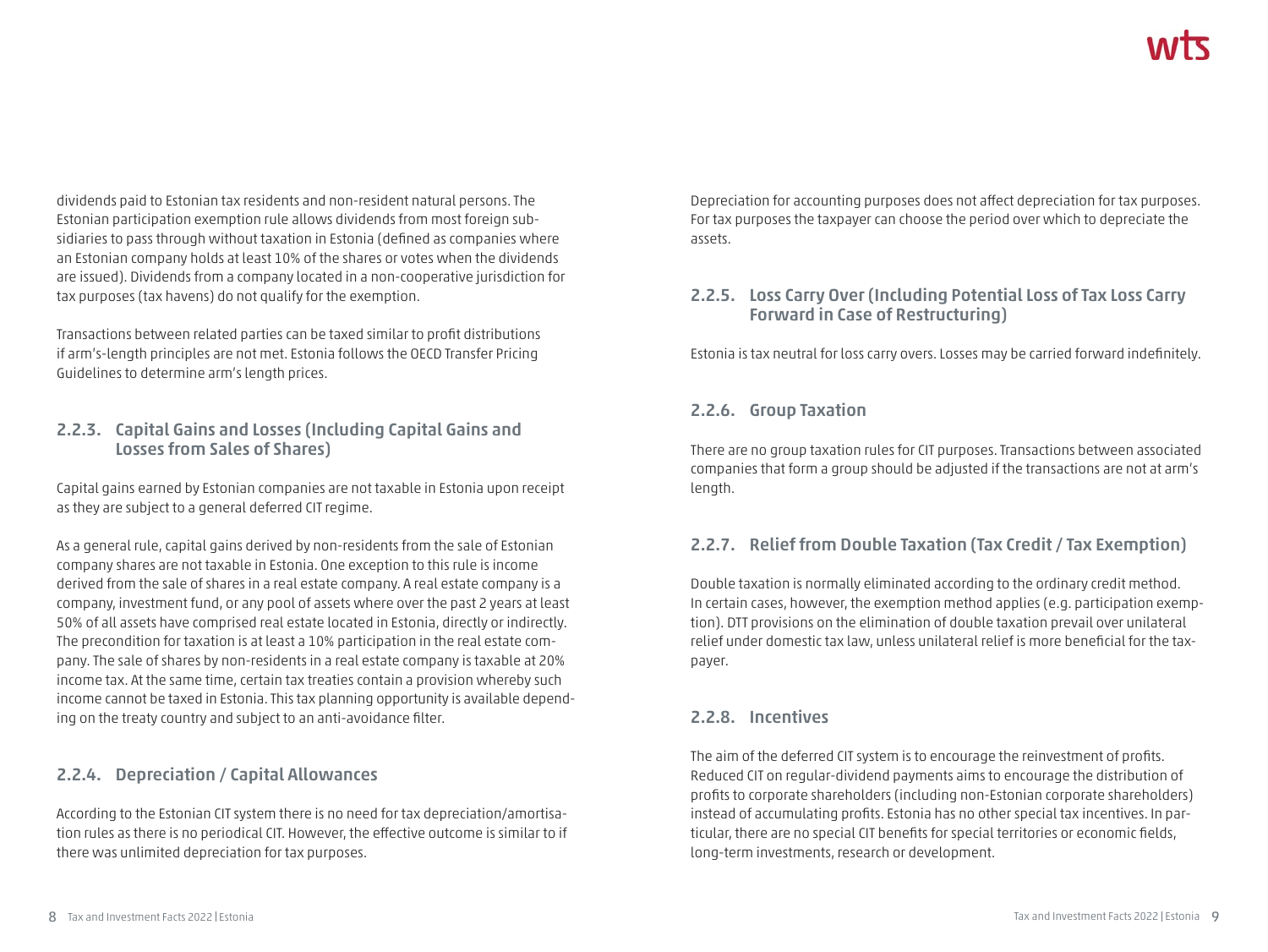dividends paid to Estonian tax residents and non-resident natural persons. The Estonian participation exemption rule allows dividends from most foreign subsidiaries to pass through without taxation in Estonia (defined as companies where an Estonian company holds at least 10% of the shares or votes when the dividends are issued). Dividends from a company located in a non-cooperative jurisdiction for tax purposes (tax havens) do not qualify for the exemption.

Transactions between related parties can be taxed similar to profit distributions if arm's-length principles are not met. Estonia follows the OECD Transfer Pricing Guidelines to determine arm's length prices.

#### **2.2.3. Capital Gains and Losses (Including Capital Gains and Losses from Sales of Shares)**

Capital gains earned by Estonian companies are not taxable in Estonia upon receipt as they are subject to a general deferred CIT regime.

As a general rule, capital gains derived by non-residents from the sale of Estonian company shares are not taxable in Estonia. One exception to this rule is income derived from the sale of shares in a real estate company. A real estate company is a company, investment fund, or any pool of assets where over the past 2 years at least 50% of all assets have comprised real estate located in Estonia, directly or indirectly. The precondition for taxation is at least a 10% participation in the real estate company. The sale of shares by non-residents in a real estate company is taxable at 20% income tax. At the same time, certain tax treaties contain a provision whereby such income cannot be taxed in Estonia. This tax planning opportunity is available depending on the treaty country and subject to an anti-avoidance filter.

### **2.2.4. Depreciation / Capital Allowances**

According to the Estonian CIT system there is no need for tax depreciation/amortisation rules as there is no periodical CIT. However, the effective outcome is similar to if there was unlimited depreciation for tax purposes.

Depreciation for accounting purposes does not affect depreciation for tax purposes. For tax purposes the taxpayer can choose the period over which to depreciate the assets.

#### **2.2.5. Loss Carry Over (Including Potential Loss of Tax Loss Carry Forward in Case of Restructuring)**

Estonia is tax neutral for loss carry overs. Losses may be carried forward indefinitely.

#### **2.2.6. Group Taxation**

There are no group taxation rules for CIT purposes. Transactions between associated companies that form a group should be adjusted if the transactions are not at arm's length.

#### **2.2.7. Relief from Double Taxation (Tax Credit / Tax Exemption)**

Double taxation is normally eliminated according to the ordinary credit method. In certain cases, however, the exemption method applies (e.g. participation exemption). DTT provisions on the elimination of double taxation prevail over unilateral relief under domestic tax law, unless unilateral relief is more beneficial for the taxpayer.

#### **2.2.8. Incentives**

The aim of the deferred CIT system is to encourage the reinvestment of profits. Reduced CIT on regular-dividend payments aims to encourage the distribution of profits to corporate shareholders (including non-Estonian corporate shareholders) instead of accumulating profits. Estonia has no other special tax incentives. In particular, there are no special CIT benefits for special territories or economic fields, long-term investments, research or development.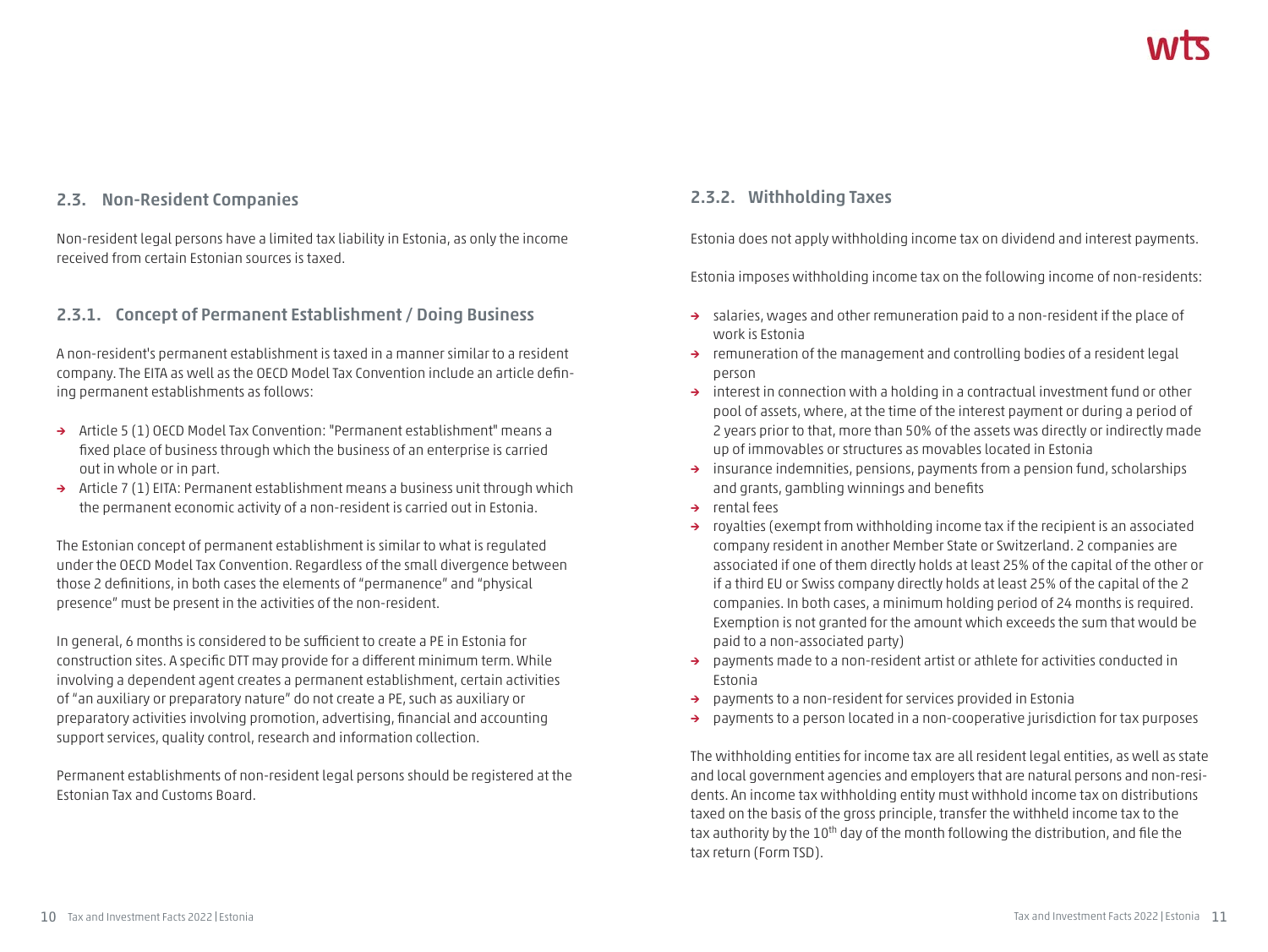#### **2.3. Non-Resident Companies**

Non-resident legal persons have a limited tax liability in Estonia, as only the income received from certain Estonian sources is taxed.

#### **2.3.1. Concept of Permanent Establishment / Doing Business**

A non-resident's permanent establishment is taxed in a manner similar to a resident company. The EITA as well as the OECD Model Tax Convention include an article defining permanent establishments as follows:

- **→** Article 5 (1) OECD Model Tax Convention: "Permanent establishment" means a fixed place of business through which the business of an enterprise is carried out in whole or in part.
- **→** Article 7 (1) EITA: Permanent establishment means a business unit through which the permanent economic activity of a non-resident is carried out in Estonia.

The Estonian concept of permanent establishment is similar to what is regulated under the OECD Model Tax Convention. Regardless of the small divergence between those 2 definitions, in both cases the elements of "permanence" and "physical presence" must be present in the activities of the non-resident.

In general, 6 months is considered to be sufficient to create a PE in Estonia for construction sites. A specific DTT may provide for a different minimum term. While involving a dependent agent creates a permanent establishment, certain activities of "an auxiliary or preparatory nature" do not create a PE, such as auxiliary or preparatory activities involving promotion, advertising, financial and accounting support services, quality control, research and information collection.

Permanent establishments of non-resident legal persons should be registered at the Estonian Tax and Customs Board.

#### **2.3.2. Withholding Taxes**

Estonia does not apply withholding income tax on dividend and interest payments.

Estonia imposes withholding income tax on the following income of non-residents:

- **→** salaries, wages and other remuneration paid to a non-resident if the place of work is Estonia
- **→** remuneration of the management and controlling bodies of a resident legal person
- **→** interest in connection with a holding in a contractual investment fund or other pool of assets, where, at the time of the interest payment or during a period of 2 years prior to that, more than 50% of the assets was directly or indirectly made up of immovables or structures as movables located in Estonia
- **→** insurance indemnities, pensions, payments from a pension fund, scholarships and grants, gambling winnings and benefits
- **→** rental fees
- **→** royalties (exempt from withholding income tax if the recipient is an associated company resident in another Member State or Switzerland. 2 companies are associated if one of them directly holds at least 25% of the capital of the other or if a third EU or Swiss company directly holds at least 25% of the capital of the 2 companies. In both cases, a minimum holding period of 24 months is required. Exemption is not granted for the amount which exceeds the sum that would be paid to a non-associated party)
- **→** payments made to a non-resident artist or athlete for activities conducted in Estonia
- **→** payments to a non-resident for services provided in Estonia
- **→** payments to a person located in a non-cooperative jurisdiction for tax purposes

The withholding entities for income tax are all resident legal entities, as well as state and local government agencies and employers that are natural persons and non-residents. An income tax withholding entity must withhold income tax on distributions taxed on the basis of the gross principle, transfer the withheld income tax to the tax authority by the 10<sup>th</sup> day of the month following the distribution, and file the tax return (Form TSD).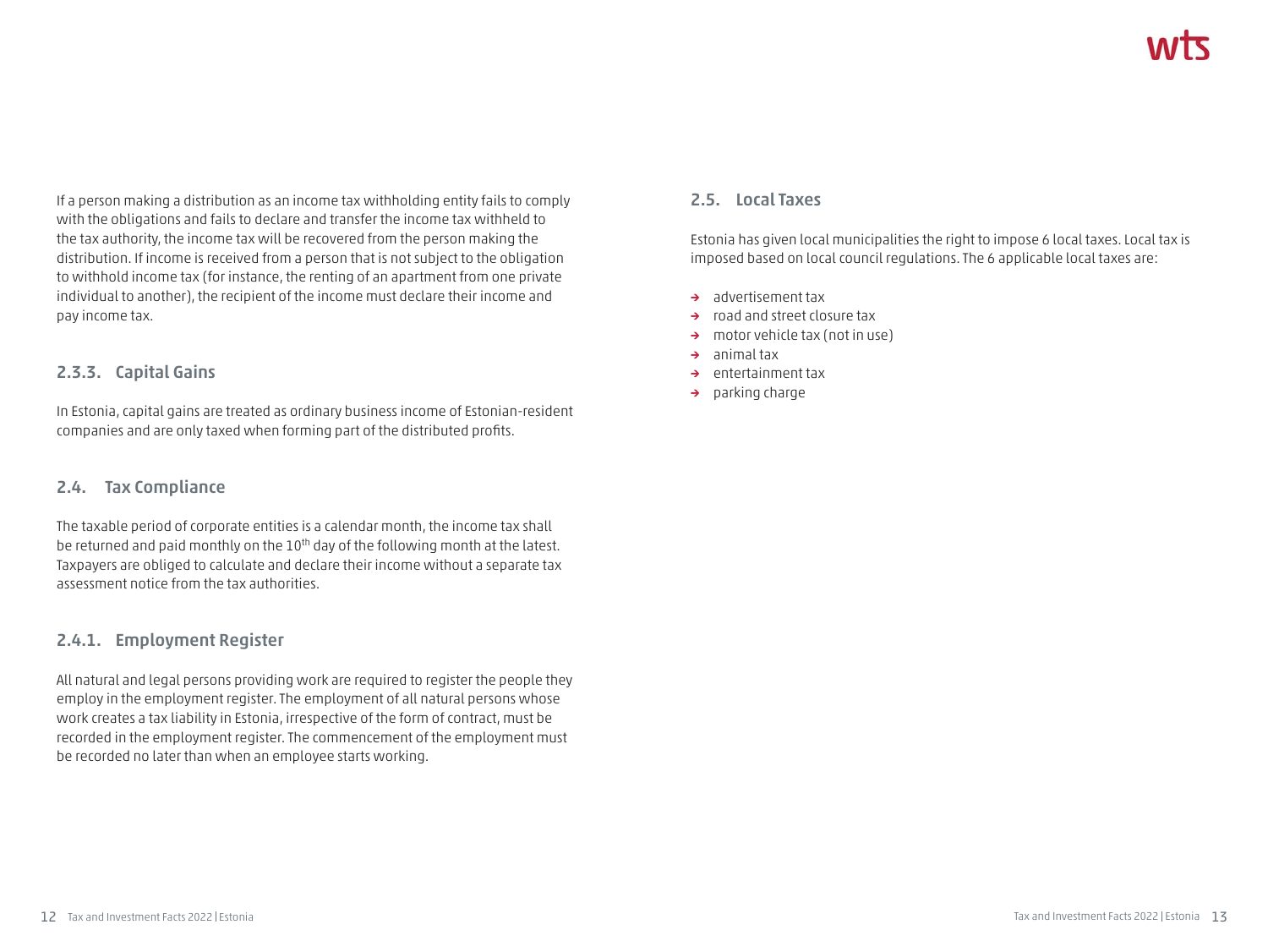If a person making a distribution as an income tax withholding entity fails to comply with the obligations and fails to declare and transfer the income tax withheld to the tax authority, the income tax will be recovered from the person making the distribution. If income is received from a person that is not subject to the obligation to withhold income tax (for instance, the renting of an apartment from one private individual to another), the recipient of the income must declare their income and pay income tax.

#### **2.3.3. Capital Gains**

In Estonia, capital gains are treated as ordinary business income of Estonian-resident companies and are only taxed when forming part of the distributed profits.

#### **2.4. Tax Compliance**

The taxable period of corporate entities is a calendar month, the income tax shall be returned and paid monthly on the 10<sup>th</sup> day of the following month at the latest. Taxpayers are obliged to calculate and declare their income without a separate tax assessment notice from the tax authorities.

### **2.4.1. Employment Register**

All natural and legal persons providing work are required to register the people they employ in the employment register. The employment of all natural persons whose work creates a tax liability in Estonia, irrespective of the form of contract, must be recorded in the employment register. The commencement of the employment must be recorded no later than when an employee starts working.

#### **2.5. Local Taxes**

Estonia has given local municipalities the right to impose 6 local taxes. Local tax is imposed based on local council regulations. The 6 applicable local taxes are:

- **→** advertisement tax
- **→** road and street closure tax
- **→** motor vehicle tax (not in use)
- **→** animal tax
- **→** entertainment tax
- **→** parking charge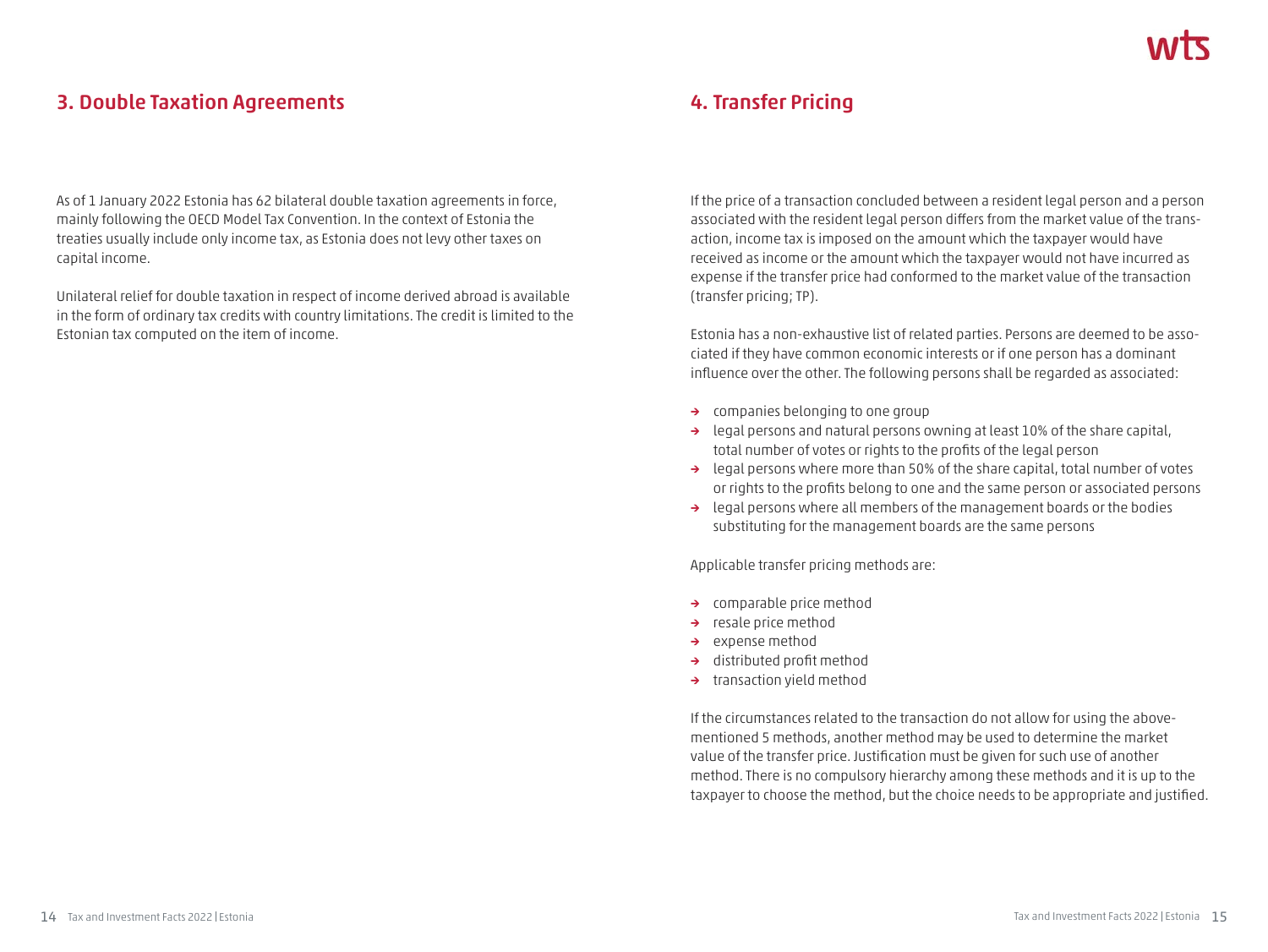# **3. Double Taxation Agreements**

As of 1 January 2022 Estonia has 62 bilateral double taxation agreements in force, mainly following the OECD Model Tax Convention. In the context of Estonia the treaties usually include only income tax, as Estonia does not levy other taxes on capital income.

Unilateral relief for double taxation in respect of income derived abroad is available in the form of ordinary tax credits with country limitations. The credit is limited to the Estonian tax computed on the item of income.

# **4. Transfer Pricing**

If the price of a transaction concluded between a resident legal person and a person associated with the resident legal person differs from the market value of the transaction, income tax is imposed on the amount which the taxpayer would have received as income or the amount which the taxpayer would not have incurred as expense if the transfer price had conformed to the market value of the transaction (transfer pricing; TP).

Estonia has a non-exhaustive list of related parties. Persons are deemed to be associated if they have common economic interests or if one person has a dominant influence over the other. The following persons shall be regarded as associated:

- **→** companies belonging to one group
- **→** legal persons and natural persons owning at least 10% of the share capital, total number of votes or rights to the profits of the legal person
- **→** legal persons where more than 50% of the share capital, total number of votes or rights to the profits belong to one and the same person or associated persons
- **→** legal persons where all members of the management boards or the bodies substituting for the management boards are the same persons

Applicable transfer pricing methods are:

- **→** comparable price method
- **→** resale price method
- **→** expense method
- **→** distributed profit method
- **→** transaction yield method

If the circumstances related to the transaction do not allow for using the abovementioned 5 methods, another method may be used to determine the market value of the transfer price. Justification must be given for such use of another method. There is no compulsory hierarchy among these methods and it is up to the taxpayer to choose the method, but the choice needs to be appropriate and justified.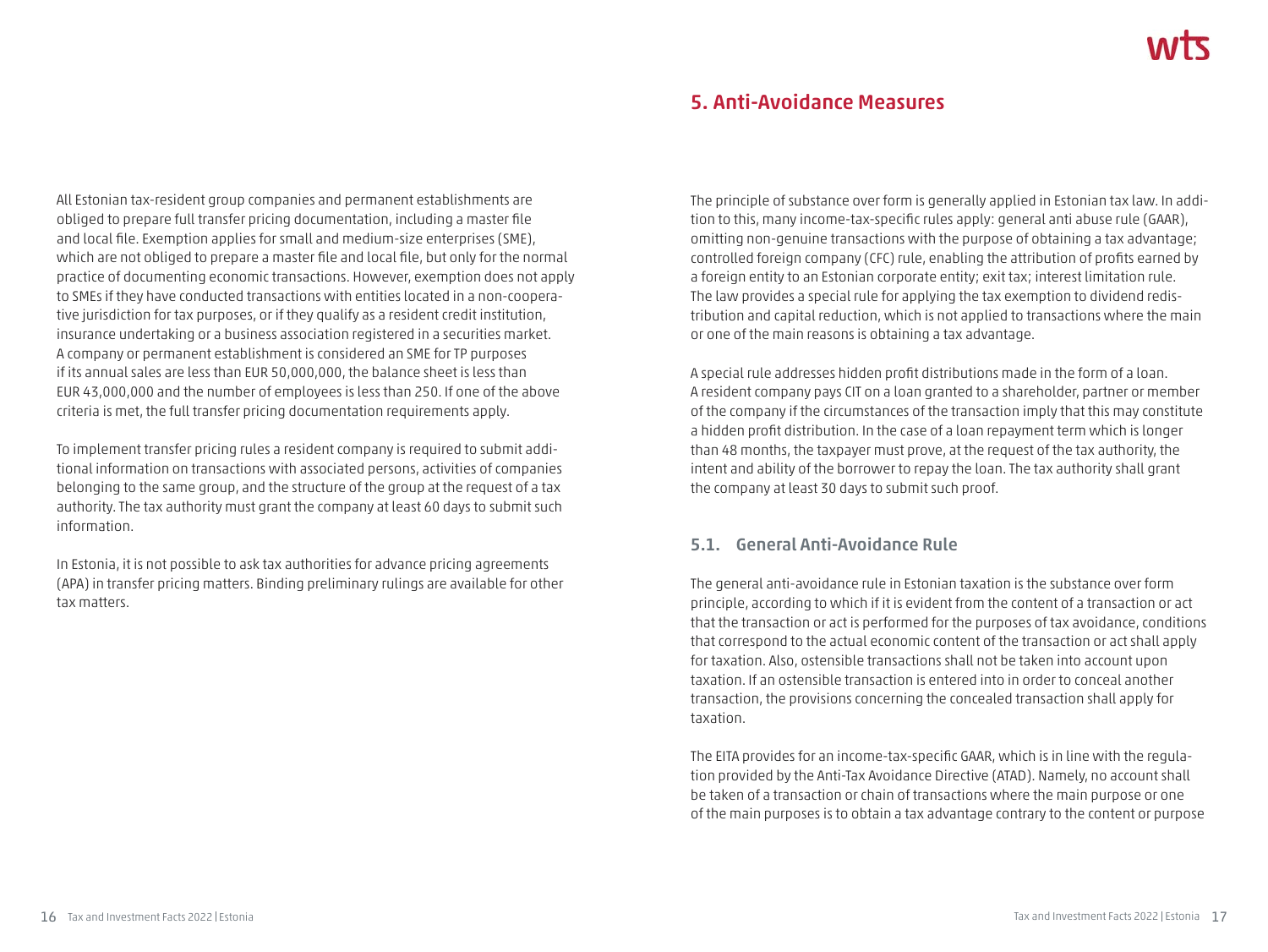# **5. Anti-Avoidance Measures**

All Estonian tax-resident group companies and permanent establishments are obliged to prepare full transfer pricing documentation, including a master file and local file. Exemption applies for small and medium-size enterprises (SME), which are not obliged to prepare a master file and local file, but only for the normal practice of documenting economic transactions. However, exemption does not apply to SMEs if they have conducted transactions with entities located in a non-cooperative jurisdiction for tax purposes, or if they qualify as a resident credit institution, insurance undertaking or a business association registered in a securities market. A company or permanent establishment is considered an SME for TP purposes if its annual sales are less than EUR 50,000,000, the balance sheet is less than EUR 43,000,000 and the number of employees is less than 250. If one of the above criteria is met, the full transfer pricing documentation requirements apply.

To implement transfer pricing rules a resident company is required to submit additional information on transactions with associated persons, activities of companies belonging to the same group, and the structure of the group at the request of a tax authority. The tax authority must grant the company at least 60 days to submit such information.

In Estonia, it is not possible to ask tax authorities for advance pricing agreements (APA) in transfer pricing matters. Binding preliminary rulings are available for other tax matters.

The principle of substance over form is generally applied in Estonian tax law. In addition to this, many income-tax-specific rules apply: general anti abuse rule (GAAR), omitting non-genuine transactions with the purpose of obtaining a tax advantage; controlled foreign company (CFC) rule, enabling the attribution of profits earned by a foreign entity to an Estonian corporate entity; exit tax; interest limitation rule. The law provides a special rule for applying the tax exemption to dividend redistribution and capital reduction, which is not applied to transactions where the main or one of the main reasons is obtaining a tax advantage.

A special rule addresses hidden profit distributions made in the form of a loan. A resident company pays CIT on a loan granted to a shareholder, partner or member of the company if the circumstances of the transaction imply that this may constitute a hidden profit distribution. In the case of a loan repayment term which is longer than 48 months, the taxpayer must prove, at the request of the tax authority, the intent and ability of the borrower to repay the loan. The tax authority shall grant the company at least 30 days to submit such proof.

### **5.1. General Anti-Avoidance Rule**

The general anti-avoidance rule in Estonian taxation is the substance over form principle, according to which if it is evident from the content of a transaction or act that the transaction or act is performed for the purposes of tax avoidance, conditions that correspond to the actual economic content of the transaction or act shall apply for taxation. Also, ostensible transactions shall not be taken into account upon taxation. If an ostensible transaction is entered into in order to conceal another transaction, the provisions concerning the concealed transaction shall apply for taxation.

The EITA provides for an income-tax-specific GAAR, which is in line with the regulation provided by the Anti-Tax Avoidance Directive (ATAD). Namely, no account shall be taken of a transaction or chain of transactions where the main purpose or one of the main purposes is to obtain a tax advantage contrary to the content or purpose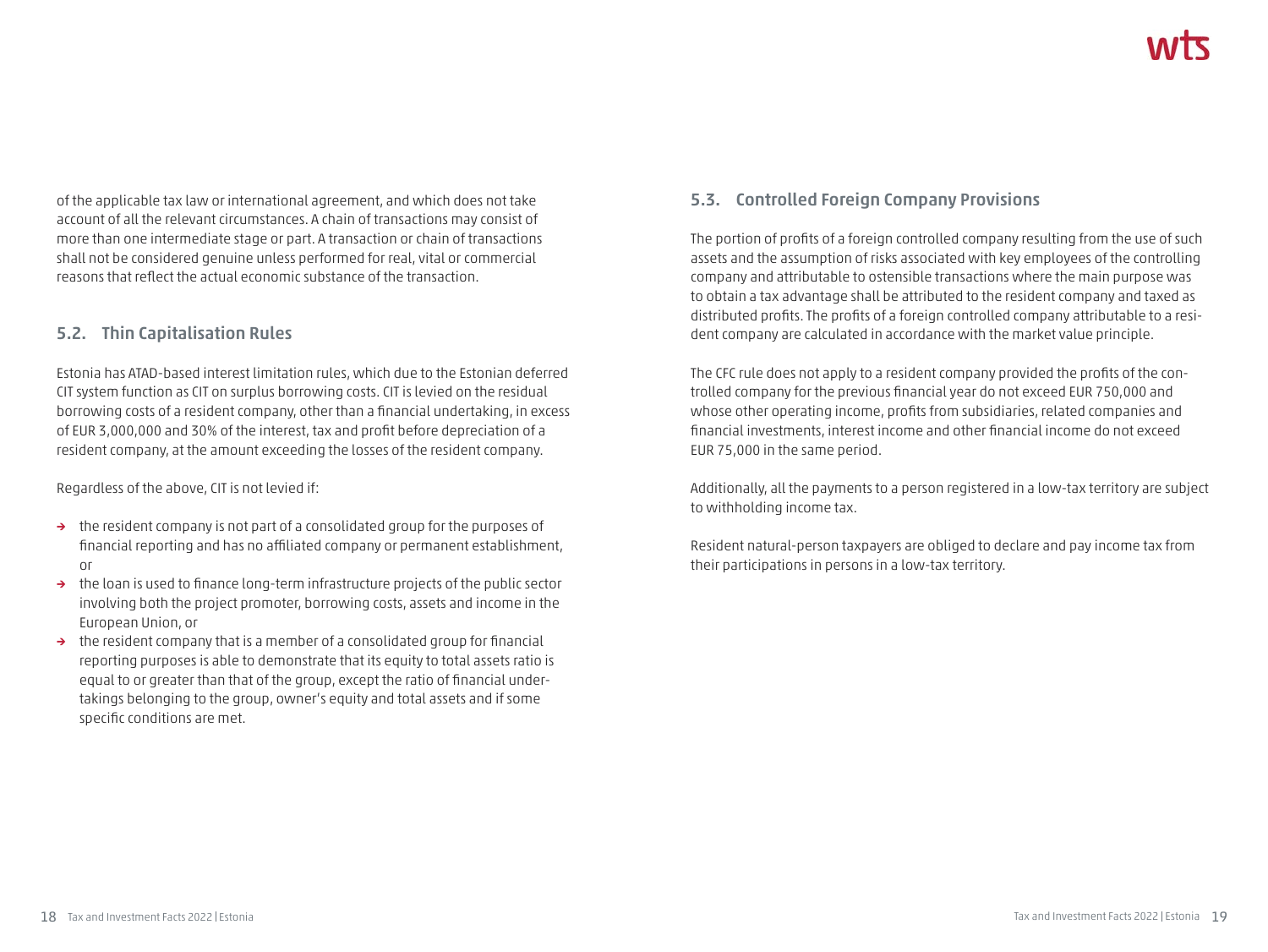of the applicable tax law or international agreement, and which does not take account of all the relevant circumstances. A chain of transactions may consist of more than one intermediate stage or part. A transaction or chain of transactions shall not be considered genuine unless performed for real, vital or commercial reasons that reflect the actual economic substance of the transaction.

#### **5.2. Thin Capitalisation Rules**

Estonia has ATAD-based interest limitation rules, which due to the Estonian deferred CIT system function as CIT on surplus borrowing costs. CIT is levied on the residual borrowing costs of a resident company, other than a financial undertaking, in excess of EUR 3,000,000 and 30% of the interest, tax and profit before depreciation of a resident company, at the amount exceeding the losses of the resident company.

Regardless of the above, CIT is not levied if:

- **→** the resident company is not part of a consolidated group for the purposes of financial reporting and has no affiliated company or permanent establishment, or
- **→** the loan is used to finance long-term infrastructure projects of the public sector involving both the project promoter, borrowing costs, assets and income in the European Union, or
- **→** the resident company that is a member of a consolidated group for financial reporting purposes is able to demonstrate that its equity to total assets ratio is equal to or greater than that of the group, except the ratio of financial undertakings belonging to the group, owner's equity and total assets and if some specific conditions are met.

# **5.3. Controlled Foreign Company Provisions**

The portion of profits of a foreign controlled company resulting from the use of such assets and the assumption of risks associated with key employees of the controlling company and attributable to ostensible transactions where the main purpose was to obtain a tax advantage shall be attributed to the resident company and taxed as distributed profits. The profits of a foreign controlled company attributable to a resident company are calculated in accordance with the market value principle.

The CFC rule does not apply to a resident company provided the profits of the controlled company for the previous financial year do not exceed EUR 750,000 and whose other operating income, profits from subsidiaries, related companies and financial investments, interest income and other financial income do not exceed EUR 75,000 in the same period.

Additionally, all the payments to a person registered in a low-tax territory are subject to withholding income tax.

Resident natural-person taxpayers are obliged to declare and pay income tax from their participations in persons in a low-tax territory.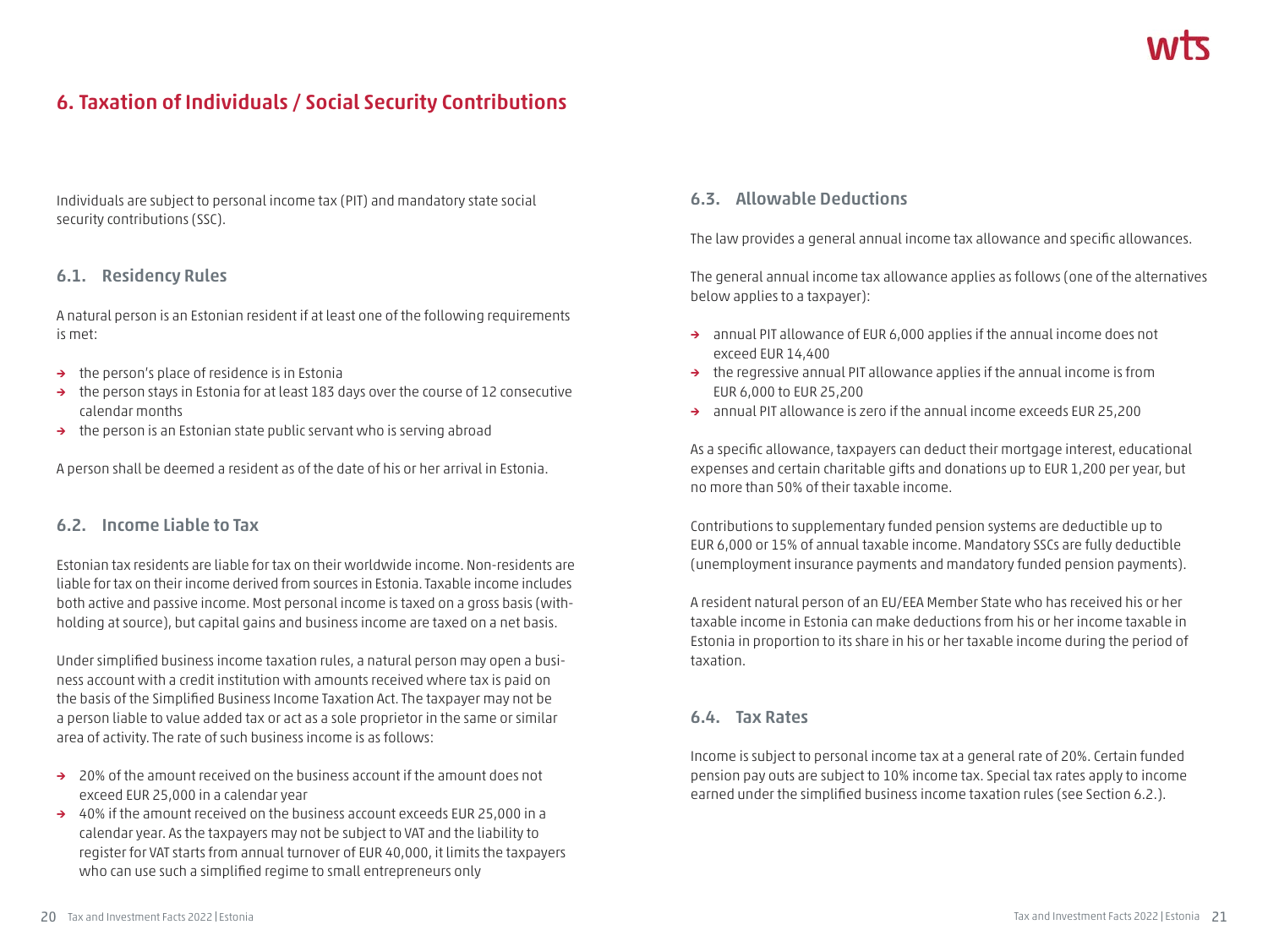# **6. Taxation of Individuals / Social Security Contributions**

Individuals are subject to personal income tax (PIT) and mandatory state social security contributions (SSC).

#### **6.1. Residency Rules**

A natural person is an Estonian resident if at least one of the following requirements is met:

- **→** the person's place of residence is in Estonia
- **→** the person stays in Estonia for at least 183 days over the course of 12 consecutive calendar months
- **→** the person is an Estonian state public servant who is serving abroad

A person shall be deemed a resident as of the date of his or her arrival in Estonia.

#### **6.2. Income Liable to Tax**

Estonian tax residents are liable for tax on their worldwide income. Non-residents are liable for tax on their income derived from sources in Estonia. Taxable income includes both active and passive income. Most personal income is taxed on a gross basis (withholding at source), but capital gains and business income are taxed on a net basis.

Under simplified business income taxation rules, a natural person may open a business account with a credit institution with amounts received where tax is paid on the basis of the Simplified Business Income Taxation Act. The taxpayer may not be a person liable to value added tax or act as a sole proprietor in the same or similar area of activity. The rate of such business income is as follows:

- **→** 20% of the amount received on the business account if the amount does not exceed EUR 25,000 in a calendar year
- **→** 40% if the amount received on the business account exceeds EUR 25,000 in a calendar year. As the taxpayers may not be subject to VAT and the liability to register for VAT starts from annual turnover of EUR 40,000, it limits the taxpayers who can use such a simplified regime to small entrepreneurs only

#### **6.3. Allowable Deductions**

The law provides a general annual income tax allowance and specific allowances.

The general annual income tax allowance applies as follows (one of the alternatives below applies to a taxpayer):

- **→** annual PIT allowance of EUR 6,000 applies if the annual income does not exceed EUR 14,400
- **→** the regressive annual PIT allowance applies if the annual income is from EUR 6,000 to EUR 25,200
- **→** annual PIT allowance is zero if the annual income exceeds EUR 25,200

As a specific allowance, taxpayers can deduct their mortgage interest, educational expenses and certain charitable gifts and donations up to EUR 1,200 per year, but no more than 50% of their taxable income.

Contributions to supplementary funded pension systems are deductible up to EUR 6,000 or 15% of annual taxable income. Mandatory SSCs are fully deductible (unemployment insurance payments and mandatory funded pension payments).

A resident natural person of an EU/EEA Member State who has received his or her taxable income in Estonia can make deductions from his or her income taxable in Estonia in proportion to its share in his or her taxable income during the period of taxation.

#### **6.4. Tax Rates**

Income is subject to personal income tax at a general rate of 20%. Certain funded pension pay outs are subject to 10% income tax. Special tax rates apply to income earned under the simplified business income taxation rules (see Section 6.2.).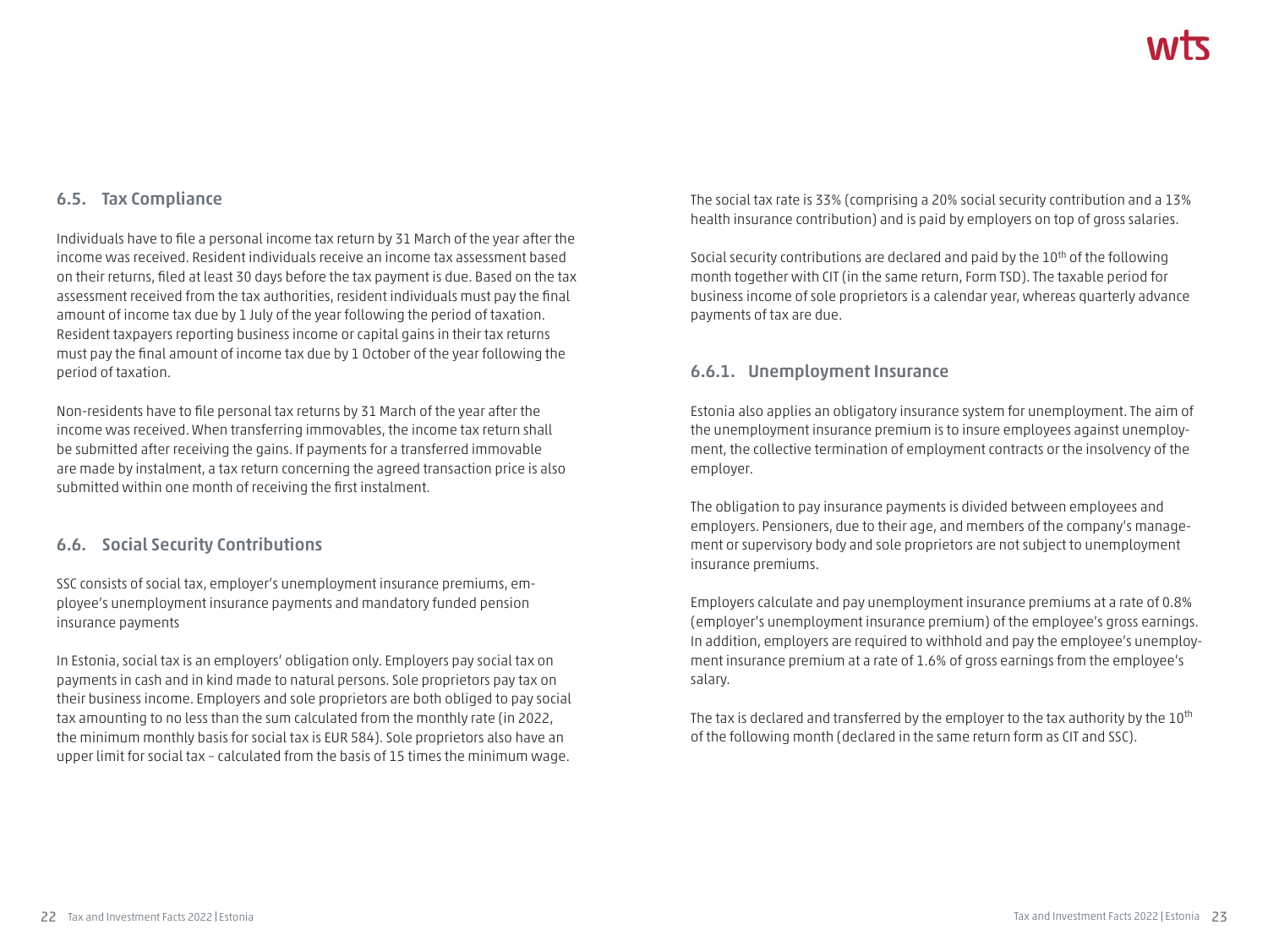#### **6.5. Tax Compliance**

Individuals have to file a personal income tax return by 31 March of the year after the income was received. Resident individuals receive an income tax assessment based on their returns, filed at least 30 days before the tax payment is due. Based on the tax assessment received from the tax authorities, resident individuals must pay the final amount of income tax due by 1 July of the year following the period of taxation. Resident taxpayers reporting business income or capital gains in their tax returns must pay the final amount of income tax due by 1 October of the year following the period of taxation.

Non-residents have to file personal tax returns by 31 March of the year after the income was received. When transferring immovables, the income tax return shall be submitted after receiving the gains. If payments for a transferred immovable are made by instalment, a tax return concerning the agreed transaction price is also submitted within one month of receiving the first instalment.

#### **6.6. Social Security Contributions**

SSC consists of social tax, employer's unemployment insurance premiums, employee's unemployment insurance payments and mandatory funded pension insurance payments

In Estonia, social tax is an employers' obligation only. Employers pay social tax on payments in cash and in kind made to natural persons. Sole proprietors pay tax on their business income. Employers and sole proprietors are both obliged to pay social tax amounting to no less than the sum calculated from the monthly rate (in 2022, the minimum monthly basis for social tax is EUR 584). Sole proprietors also have an upper limit for social tax – calculated from the basis of 15 times the minimum wage.

The social tax rate is 33% (comprising a 20% social security contribution and a 13% health insurance contribution) and is paid by employers on top of gross salaries.

Social security contributions are declared and paid by the 10<sup>th</sup> of the following month together with CIT (in the same return, Form TSD). The taxable period for business income of sole proprietors is a calendar year, whereas quarterly advance payments of tax are due.

#### **6.6.1. Unemployment Insurance**

Estonia also applies an obligatory insurance system for unemployment. The aim of the unemployment insurance premium is to insure employees against unemployment, the collective termination of employment contracts or the insolvency of the employer.

The obligation to pay insurance payments is divided between employees and employers. Pensioners, due to their age, and members of the company's management or supervisory body and sole proprietors are not subject to unemployment insurance premiums.

Employers calculate and pay unemployment insurance premiums at a rate of 0.8% (employer's unemployment insurance premium) of the employee's gross earnings. In addition, employers are required to withhold and pay the employee's unemployment insurance premium at a rate of 1.6% of gross earnings from the employee's salary.

The tax is declared and transferred by the employer to the tax authority by the  $10^{th}$ of the following month (declared in the same return form as CIT and SSC).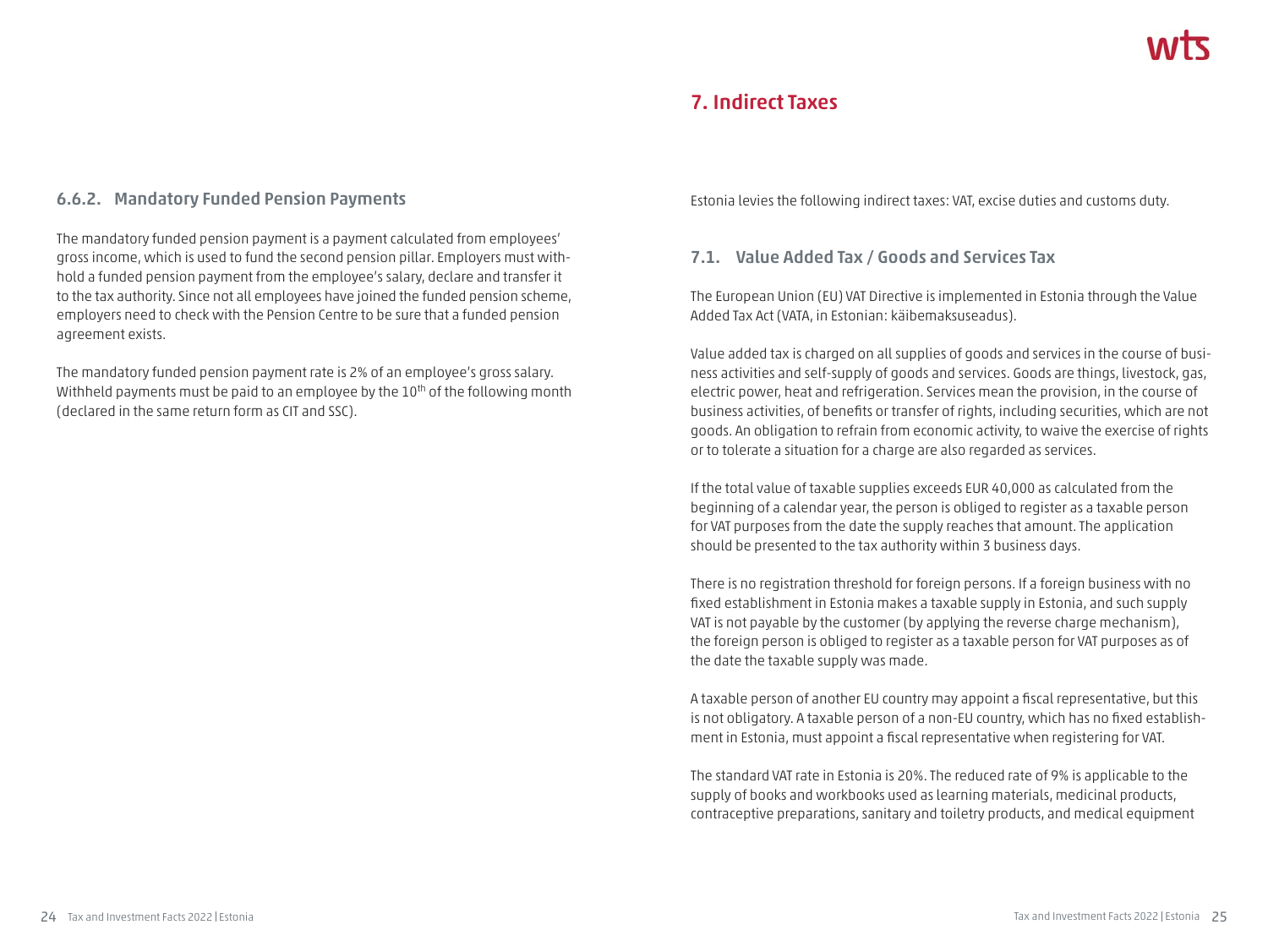# **7. Indirect Taxes**

#### **6.6.2. Mandatory Funded Pension Payments**

The mandatory funded pension payment is a payment calculated from employees' gross income, which is used to fund the second pension pillar. Employers must withhold a funded pension payment from the employee's salary, declare and transfer it to the tax authority. Since not all employees have joined the funded pension scheme, employers need to check with the Pension Centre to be sure that a funded pension agreement exists.

The mandatory funded pension payment rate is 2% of an employee's gross salary. Withheld payments must be paid to an employee by the 10<sup>th</sup> of the following month (declared in the same return form as CIT and SSC).

Estonia levies the following indirect taxes: VAT, excise duties and customs duty.

#### **7.1. Value Added Tax / Goods and Services Tax**

The European Union (EU) VAT Directive is implemented in Estonia through the Value Added Tax Act (VATA, in Estonian: käibemaksuseadus).

Value added tax is charged on all supplies of goods and services in the course of business activities and self-supply of goods and services. Goods are things, livestock, gas, electric power, heat and refrigeration. Services mean the provision, in the course of business activities, of benefits or transfer of rights, including securities, which are not goods. An obligation to refrain from economic activity, to waive the exercise of rights or to tolerate a situation for a charge are also regarded as services.

If the total value of taxable supplies exceeds EUR 40,000 as calculated from the beginning of a calendar year, the person is obliged to register as a taxable person for VAT purposes from the date the supply reaches that amount. The application should be presented to the tax authority within 3 business days.

There is no registration threshold for foreign persons. If a foreign business with no fixed establishment in Estonia makes a taxable supply in Estonia, and such supply VAT is not payable by the customer (by applying the reverse charge mechanism), the foreign person is obliged to register as a taxable person for VAT purposes as of the date the taxable supply was made.

A taxable person of another EU country may appoint a fiscal representative, but this is not obligatory. A taxable person of a non-EU country, which has no fixed establishment in Estonia, must appoint a fiscal representative when registering for VAT.

The standard VAT rate in Estonia is 20%. The reduced rate of 9% is applicable to the supply of books and workbooks used as learning materials, medicinal products, contraceptive preparations, sanitary and toiletry products, and medical equipment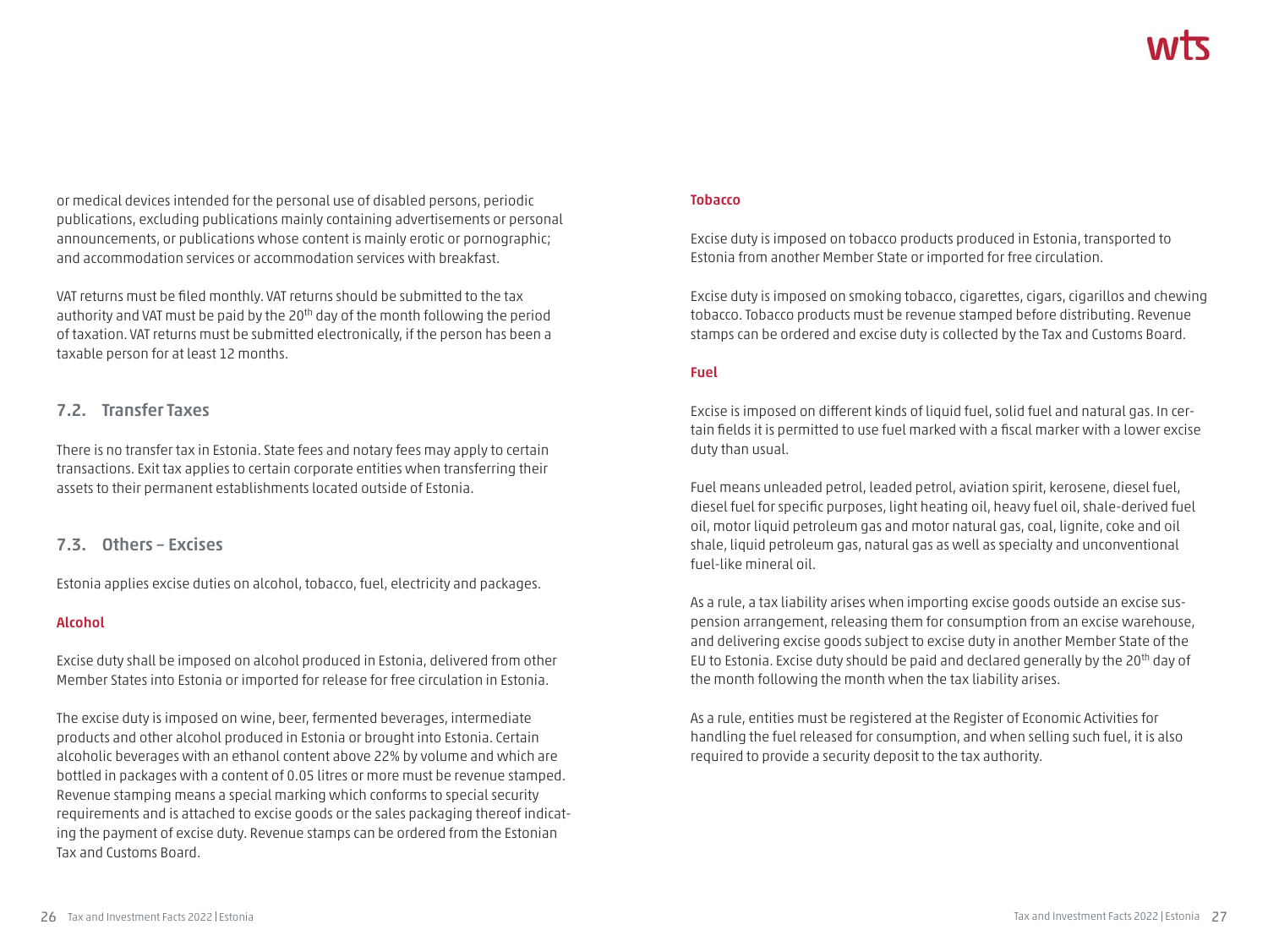or medical devices intended for the personal use of disabled persons, periodic publications, excluding publications mainly containing advertisements or personal announcements, or publications whose content is mainly erotic or pornographic; and accommodation services or accommodation services with breakfast.

VAT returns must be filed monthly. VAT returns should be submitted to the tax authority and VAT must be paid by the 20<sup>th</sup> day of the month following the period of taxation. VAT returns must be submitted electronically, if the person has been a taxable person for at least 12 months.

#### **7.2. Transfer Taxes**

There is no transfer tax in Estonia. State fees and notary fees may apply to certain transactions. Exit tax applies to certain corporate entities when transferring their assets to their permanent establishments located outside of Estonia.

#### **7.3. Others – Excises**

Estonia applies excise duties on alcohol, tobacco, fuel, electricity and packages.

#### **Alcohol**

Excise duty shall be imposed on alcohol produced in Estonia, delivered from other Member States into Estonia or imported for release for free circulation in Estonia.

The excise duty is imposed on wine, beer, fermented beverages, intermediate products and other alcohol produced in Estonia or brought into Estonia. Certain alcoholic beverages with an ethanol content above 22% by volume and which are bottled in packages with a content of 0.05 litres or more must be revenue stamped. Revenue stamping means a special marking which conforms to special security requirements and is attached to excise goods or the sales packaging thereof indicating the payment of excise duty. Revenue stamps can be ordered from the Estonian Tax and Customs Board.

#### **Tobacco**

Excise duty is imposed on tobacco products produced in Estonia, transported to Estonia from another Member State or imported for free circulation.

Excise duty is imposed on smoking tobacco, cigarettes, cigars, cigarillos and chewing tobacco. Tobacco products must be revenue stamped before distributing. Revenue stamps can be ordered and excise duty is collected by the Tax and Customs Board.

#### **Fuel**

Excise is imposed on different kinds of liquid fuel, solid fuel and natural gas. In certain fields it is permitted to use fuel marked with a fiscal marker with a lower excise duty than usual.

Fuel means unleaded petrol, leaded petrol, aviation spirit, kerosene, diesel fuel, diesel fuel for specific purposes, light heating oil, heavy fuel oil, shale-derived fuel oil, motor liquid petroleum gas and motor natural gas, coal, lignite, coke and oil shale, liquid petroleum gas, natural gas as well as specialty and unconventional fuel-like mineral oil.

As a rule, a tax liability arises when importing excise goods outside an excise suspension arrangement, releasing them for consumption from an excise warehouse, and delivering excise goods subject to excise duty in another Member State of the EU to Estonia. Excise duty should be paid and declared generally by the 20<sup>th</sup> day of the month following the month when the tax liability arises.

As a rule, entities must be registered at the Register of Economic Activities for handling the fuel released for consumption, and when selling such fuel, it is also required to provide a security deposit to the tax authority.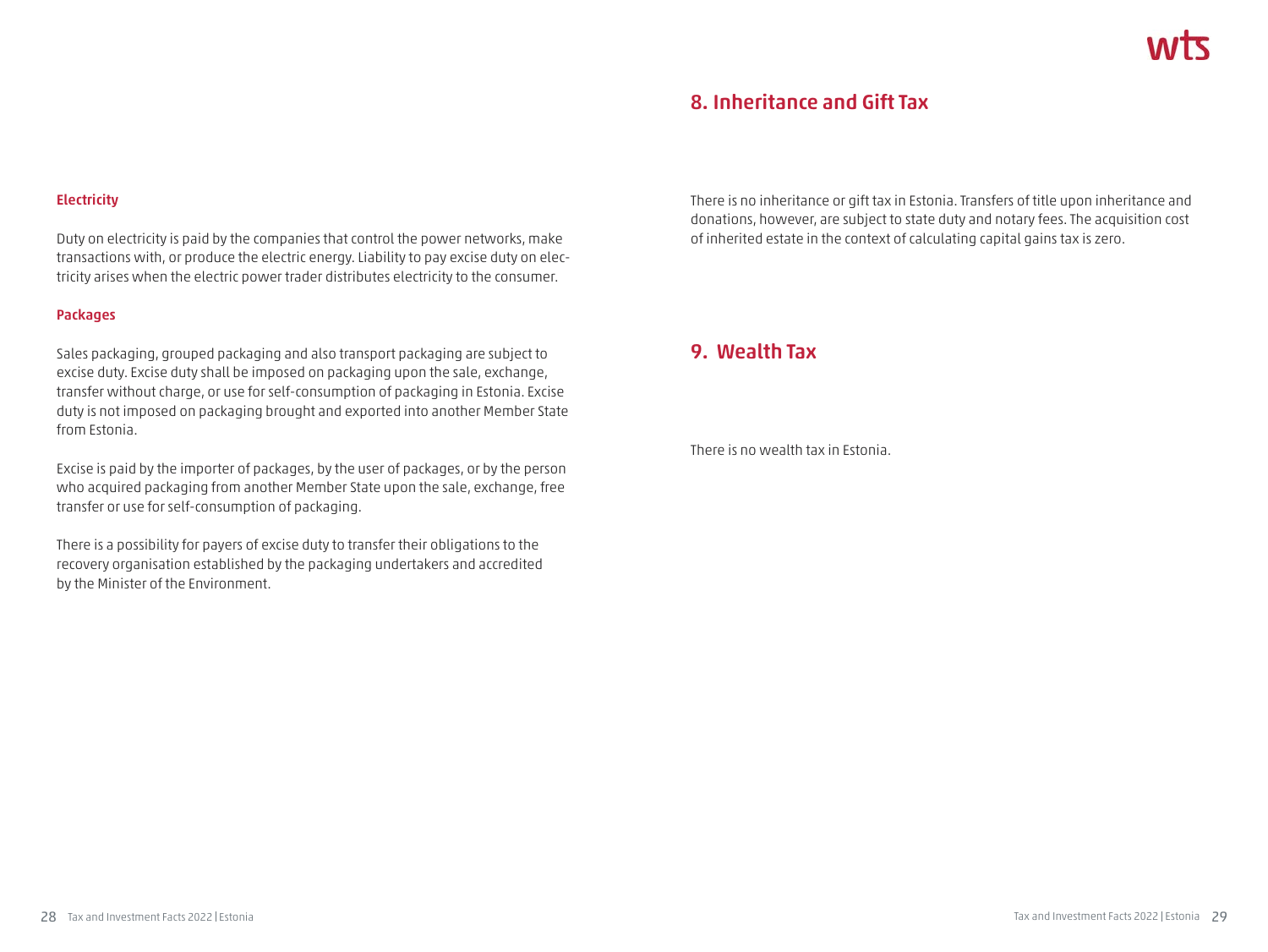# **8. Inheritance and Gift Tax**

#### **Electricity**

Duty on electricity is paid by the companies that control the power networks, make transactions with, or produce the electric energy. Liability to pay excise duty on electricity arises when the electric power trader distributes electricity to the consumer.

#### **Packages**

Sales packaging, grouped packaging and also transport packaging are subject to excise duty. Excise duty shall be imposed on packaging upon the sale, exchange, transfer without charge, or use for self-consumption of packaging in Estonia. Excise duty is not imposed on packaging brought and exported into another Member State from Estonia.

Excise is paid by the importer of packages, by the user of packages, or by the person who acquired packaging from another Member State upon the sale, exchange, free transfer or use for self-consumption of packaging.

There is a possibility for payers of excise duty to transfer their obligations to the recovery organisation established by the packaging undertakers and accredited by the Minister of the Environment.

There is no inheritance or gift tax in Estonia. Transfers of title upon inheritance and donations, however, are subject to state duty and notary fees. The acquisition cost of inherited estate in the context of calculating capital gains tax is zero.

# **9. Wealth Tax**

There is no wealth tax in Estonia.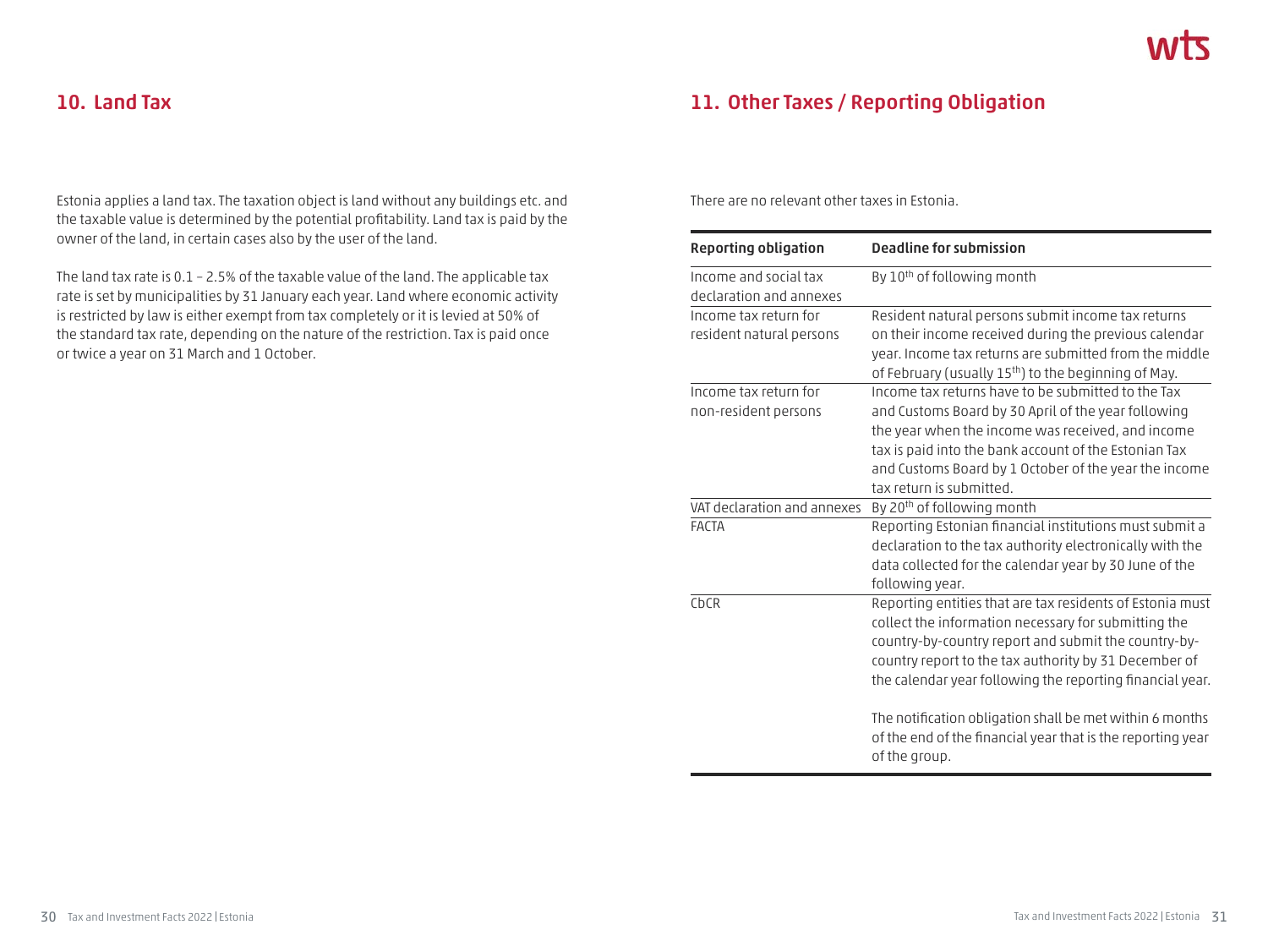# **10. Land Tax**

Estonia applies a land tax. The taxation object is land without any buildings etc. and the taxable value is determined by the potential profitability. Land tax is paid by the owner of the land, in certain cases also by the user of the land.

The land tax rate is 0.1 – 2.5% of the taxable value of the land. The applicable tax rate is set by municipalities by 31 January each year. Land where economic activity is restricted by law is either exempt from tax completely or it is levied at 50% of the standard tax rate, depending on the nature of the restriction. Tax is paid once or twice a year on 31 March and 1 October.

# **11. Other Taxes / Reporting Obligation**

There are no relevant other taxes in Estonia.

| <b>Reporting obligation</b> | <b>Deadline for submission</b>                                                                                                           |
|-----------------------------|------------------------------------------------------------------------------------------------------------------------------------------|
| Income and social tax       | By 10 <sup>th</sup> of following month                                                                                                   |
| declaration and annexes     |                                                                                                                                          |
| Income tax return for       | Resident natural persons submit income tax returns                                                                                       |
| resident natural persons    | on their income received during the previous calendar                                                                                    |
|                             | year. Income tax returns are submitted from the middle                                                                                   |
|                             | of February (usually 15 <sup>th</sup> ) to the beginning of May.                                                                         |
| Income tax return for       | Income tax returns have to be submitted to the Tax                                                                                       |
| non-resident persons        | and Customs Board by 30 April of the year following                                                                                      |
|                             | the year when the income was received, and income                                                                                        |
|                             | tax is paid into the bank account of the Estonian Tax                                                                                    |
|                             | and Customs Board by 1 October of the year the income                                                                                    |
|                             | tax return is submitted.                                                                                                                 |
| VAT declaration and annexes | By 20 <sup>th</sup> of following month                                                                                                   |
| <b>FACTA</b>                | Reporting Estonian financial institutions must submit a                                                                                  |
|                             | declaration to the tax authority electronically with the                                                                                 |
|                             | data collected for the calendar year by 30 June of the                                                                                   |
|                             | following year.                                                                                                                          |
| CbCR                        | Reporting entities that are tax residents of Estonia must                                                                                |
|                             | collect the information necessary for submitting the                                                                                     |
|                             | country-by-country report and submit the country-by-                                                                                     |
|                             | country report to the tax authority by 31 December of                                                                                    |
|                             | the calendar year following the reporting financial year.                                                                                |
|                             | The notification obligation shall be met within 6 months<br>of the end of the financial year that is the reporting year<br>of the group. |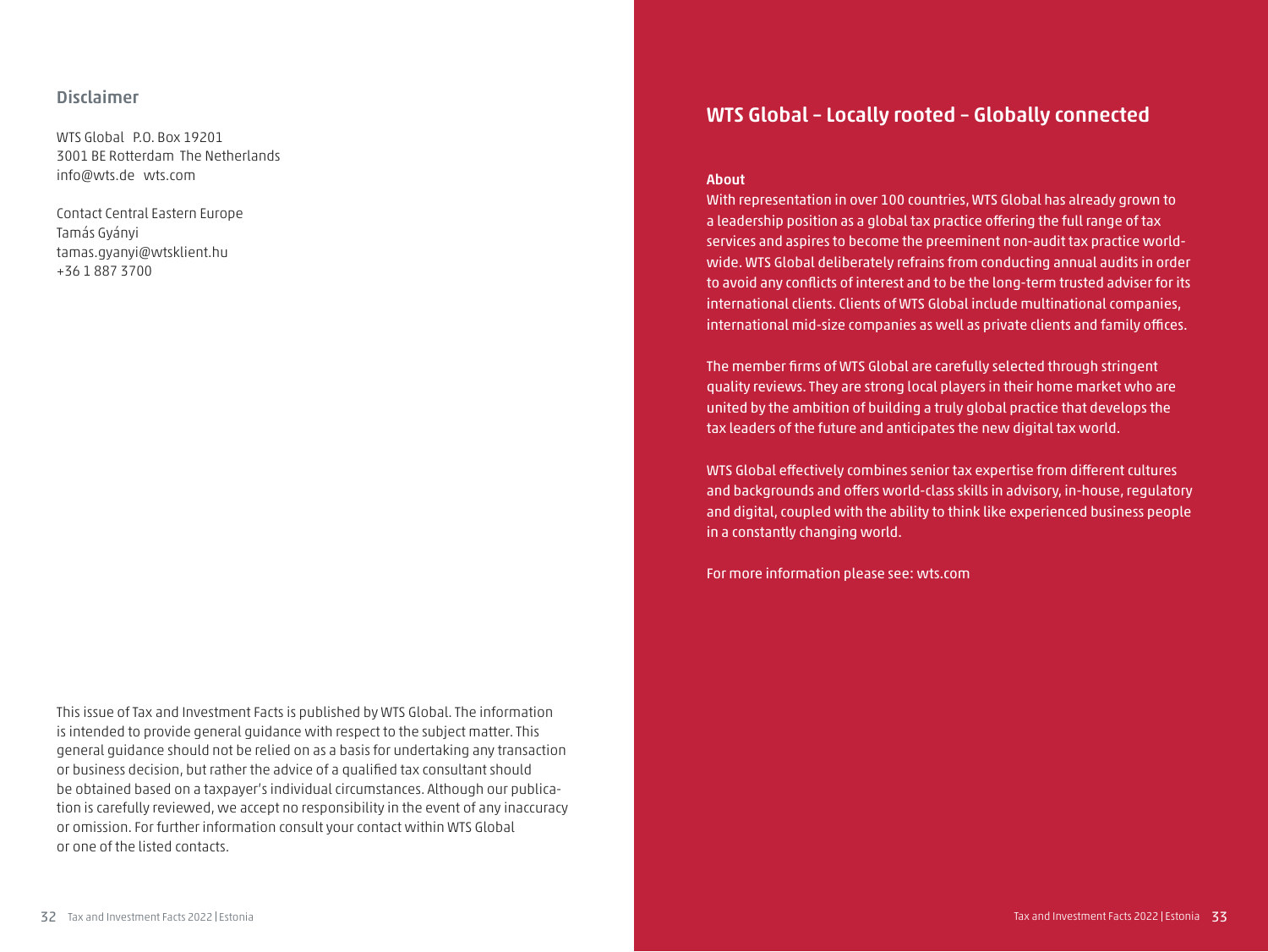#### **Disclaimer**

WTS Global P.O. Box 19201 3001 BE Rotterdam The Netherlands info@wts.de wts.com

Contact Central Eastern Europe Tamás Gyányi tamas.gyanyi@wtsklient.hu +36 1 887 3700

This issue of Tax and Investment Facts is published by WTS Global. The information is intended to provide general guidance with respect to the subject matter. This general guidance should not be relied on as a basis for undertaking any transaction or business decision, but rather the advice of a qualified tax consultant should be obtained based on a taxpayer's individual circumstances. Although our publication is carefully reviewed, we accept no responsibility in the event of any inaccuracy or omission. For further information consult your contact within WTS Global or one of the listed contacts.

# **WTS Global – Locally rooted – Globally connected**

#### **About**

With representation in over 100 countries, WTS Global has already grown to a leadership position as a global tax practice offering the full range of tax services and aspires to become the preeminent non-audit tax practice worldwide. WTS Global deliberately refrains from conducting annual audits in order to avoid any conflicts of interest and to be the long-term trusted adviser for its international clients. Clients of WTS Global include multinational companies, international mid-size companies as well as private clients and family offices.

The member firms of WTS Global are carefully selected through stringent quality reviews. They are strong local players in their home market who are united by the ambition of building a truly global practice that develops the tax leaders of the future and anticipates the new digital tax world.

WTS Global effectively combines senior tax expertise from different cultures and backgrounds and offers world-class skills in advisory, in-house, regulatory and digital, coupled with the ability to think like experienced business people in a constantly changing world.

For more information please see: wts.com